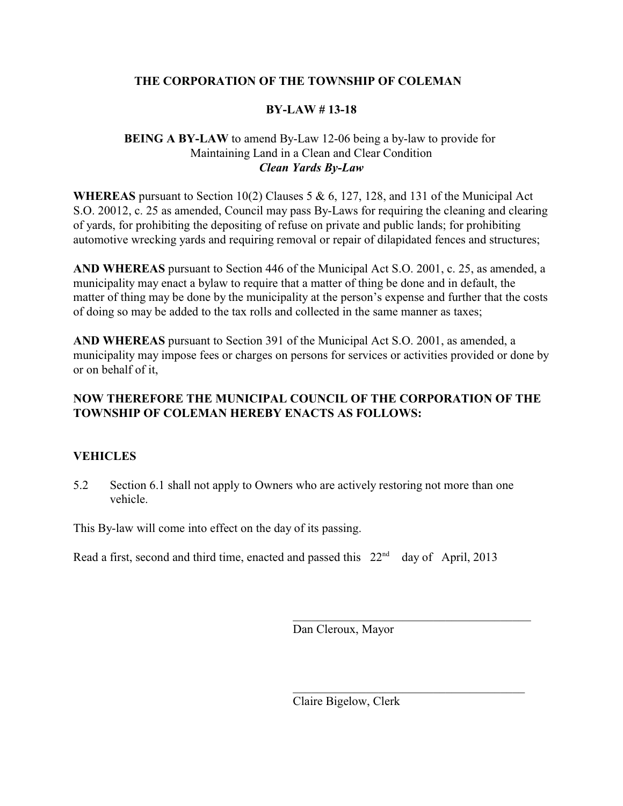# **THE CORPORATION OF THE TOWNSHIP OF COLEMAN**

# **BY-LAW # 13-18**

# **BEING A BY-LAW** to amend By-Law 12-06 being a by-law to provide for Maintaining Land in a Clean and Clear Condition *Clean Yards By-Law*

**WHEREAS** pursuant to Section 10(2) Clauses 5 & 6, 127, 128, and 131 of the Municipal Act S.O. 20012, c. 25 as amended, Council may pass By-Laws for requiring the cleaning and clearing of yards, for prohibiting the depositing of refuse on private and public lands; for prohibiting automotive wrecking yards and requiring removal or repair of dilapidated fences and structures;

**AND WHEREAS** pursuant to Section 446 of the Municipal Act S.O. 2001, c. 25, as amended, a municipality may enact a bylaw to require that a matter of thing be done and in default, the matter of thing may be done by the municipality at the person's expense and further that the costs of doing so may be added to the tax rolls and collected in the same manner as taxes;

**AND WHEREAS** pursuant to Section 391 of the Municipal Act S.O. 2001, as amended, a municipality may impose fees or charges on persons for services or activities provided or done by or on behalf of it,

# **NOW THEREFORE THE MUNICIPAL COUNCIL OF THE CORPORATION OF THE TOWNSHIP OF COLEMAN HEREBY ENACTS AS FOLLOWS:**

# **VEHICLES**

5.2 Section 6.1 shall not apply to Owners who are actively restoring not more than one vehicle.

This By-law will come into effect on the day of its passing.

Read a first, second and third time, enacted and passed this  $22<sup>nd</sup>$  day of April, 2013

Dan Cleroux, Mayor

Claire Bigelow, Clerk

\_\_\_\_\_\_\_\_\_\_\_\_\_\_\_\_\_\_\_\_\_\_\_\_\_\_\_\_\_\_\_\_\_\_\_\_\_\_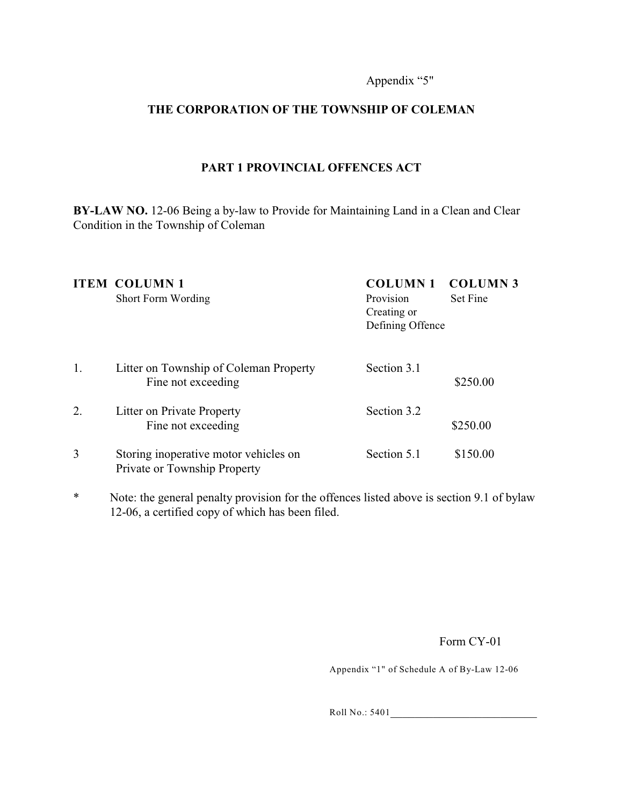#### Appendix "5"

# **THE CORPORATION OF THE TOWNSHIP OF COLEMAN**

# **PART 1 PROVINCIAL OFFENCES ACT**

**BY-LAW NO.** 12-06 Being a by-law to Provide for Maintaining Land in a Clean and Clear Condition in the Township of Coleman

|    | <b>ITEM COLUMN1</b><br>Short Form Wording                             | <b>COLUMN1</b><br>Provision<br>Creating or<br>Defining Offence | <b>COLUMN 3</b><br><b>Set Fine</b> |
|----|-----------------------------------------------------------------------|----------------------------------------------------------------|------------------------------------|
| 1. | Litter on Township of Coleman Property<br>Fine not exceeding          | Section 3.1                                                    | \$250.00                           |
| 2. | Litter on Private Property<br>Fine not exceeding                      | Section 3.2                                                    | \$250.00                           |
| 3  | Storing inoperative motor vehicles on<br>Private or Township Property | Section 5.1                                                    | \$150.00                           |

\* Note: the general penalty provision for the offences listed above is section 9.1 of bylaw 12-06, a certified copy of which has been filed.

Form CY-01

Appendix "1" of Schedule A of By-Law 12-06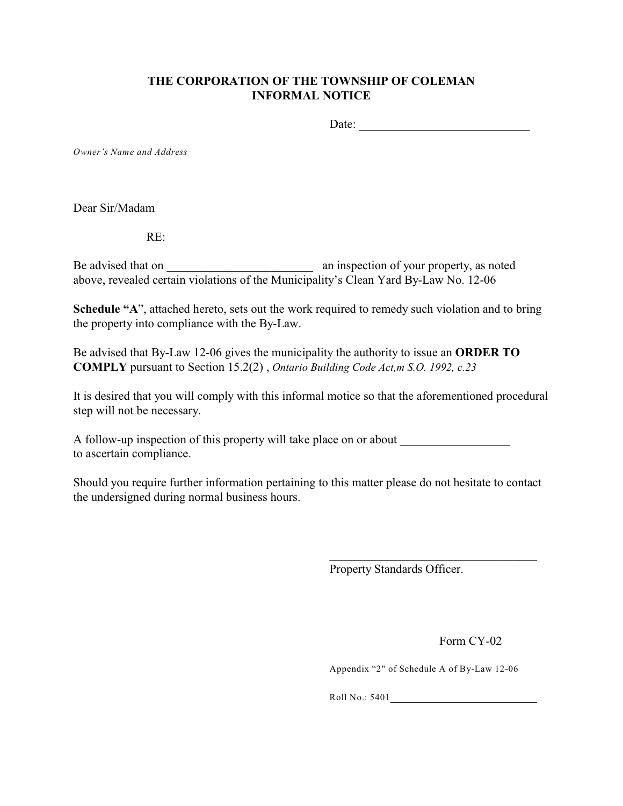# **THE CORPORATION OF THE TOWNSHIP OF COLEMAN INFORMAL NOTICE**

Date: \_\_\_\_\_\_\_\_\_\_\_\_\_\_\_\_\_\_\_\_\_\_\_\_\_\_\_\_

*Owner's Name and Address*

Dear Sir/Madam

RE:

Be advised that on  $\Box$  an inspection of your property, as noted above, revealed certain violations of the Municipality's Clean Yard By-Law No. 12-06

**Schedule "A"**, attached hereto, sets out the work required to remedy such violation and to bring the property into compliance with the By-Law.

Be advised that By-Law 12-06 gives the municipality the authority to issue an **ORDER TO COMPLY** pursuant to Section 15.2(2) , *Ontario Building Code Act,m S.O. 1992, c.23*

It is desired that you will comply with this informal motice so that the aforementioned procedural step will not be necessary.

A follow-up inspection of this property will take place on or about to ascertain compliance.

Should you require further information pertaining to this matter please do not hesitate to contact the undersigned during normal business hours.

Property Standards Officer.

Form CY-02

Appendix "2" of Schedule A of By-Law 12-06

 $\mathcal{L}_\mathcal{L}$  , which is a set of the set of the set of the set of the set of the set of the set of the set of the set of the set of the set of the set of the set of the set of the set of the set of the set of the set of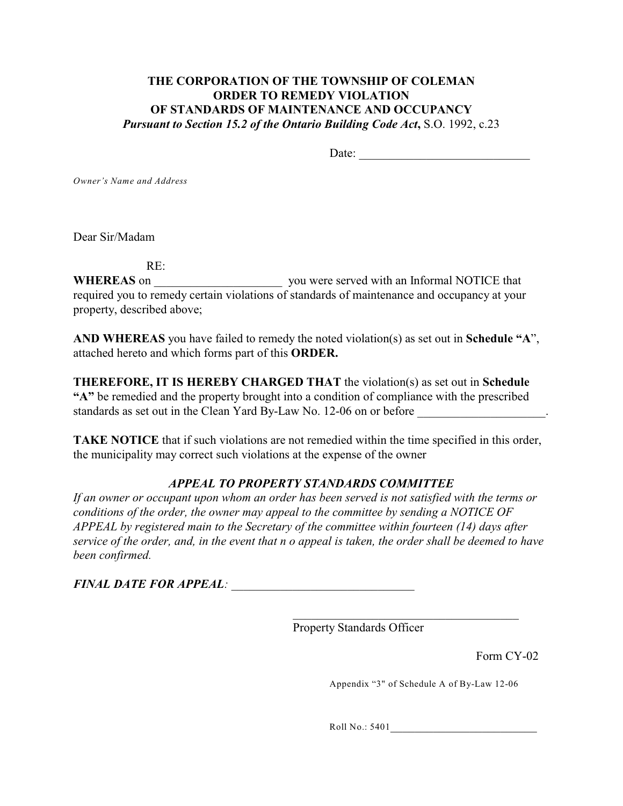# **THE CORPORATION OF THE TOWNSHIP OF COLEMAN ORDER TO REMEDY VIOLATION OF STANDARDS OF MAINTENANCE AND OCCUPANCY** *Pursuant to Section 15.2 of the Ontario Building Code Act***,** S.O. 1992, c.23

Date:

*Owner's Name and Address*

Dear Sir/Madam

RE:

**WHEREAS** on \_\_\_\_\_\_\_\_\_\_\_\_\_\_\_\_\_\_\_\_\_ you were served with an Informal NOTICE that required you to remedy certain violations of standards of maintenance and occupancy at your property, described above;

**AND WHEREAS** you have failed to remedy the noted violation(s) as set out in **Schedule "A**", attached hereto and which forms part of this **ORDER.**

**THEREFORE, IT IS HEREBY CHARGED THAT** the violation(s) as set out in **Schedule "A"** be remedied and the property brought into a condition of compliance with the prescribed standards as set out in the Clean Yard By-Law No. 12-06 on or before

**TAKE NOTICE** that if such violations are not remedied within the time specified in this order, the municipality may correct such violations at the expense of the owner

# *APPEAL TO PROPERTY STANDARDS COMMITTEE*

*If an owner or occupant upon whom an order has been served is not satisfied with the terms or conditions of the order, the owner may appeal to the committee by sending a NOTICE OF APPEAL by registered main to the Secretary of the committee within fourteen (14) days after service of the order, and, in the event that n o appeal is taken, the order shall be deemed to have been confirmed.*

*FINAL DATE FOR APPEAL: \_\_\_\_\_\_\_\_\_\_\_\_\_\_\_\_\_\_\_\_\_\_\_\_\_\_\_\_\_\_*

Property Standards Officer

Form CY-02

Appendix "3" of Schedule A of By-Law 12-06

\_\_\_\_\_\_\_\_\_\_\_\_\_\_\_\_\_\_\_\_\_\_\_\_\_\_\_\_\_\_\_\_\_\_\_\_\_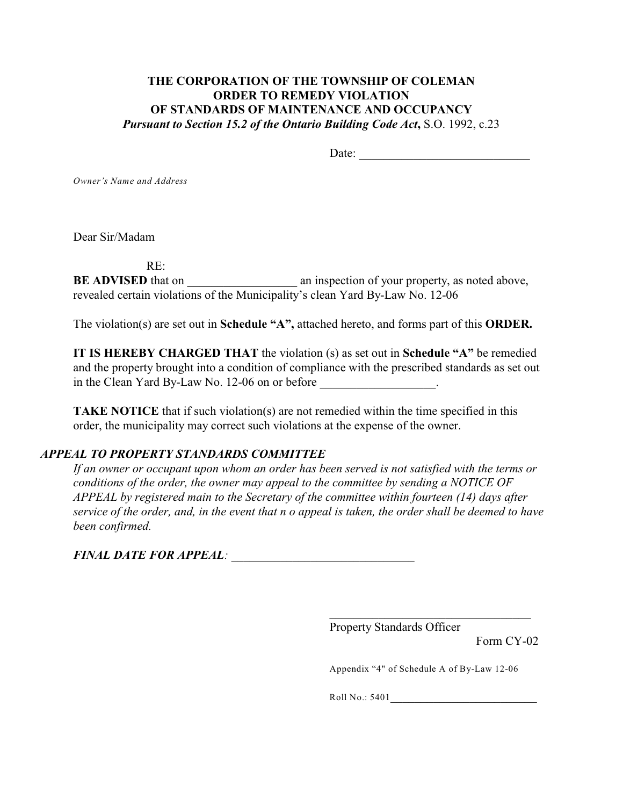# **THE CORPORATION OF THE TOWNSHIP OF COLEMAN ORDER TO REMEDY VIOLATION OF STANDARDS OF MAINTENANCE AND OCCUPANCY** *Pursuant to Section 15.2 of the Ontario Building Code Act***,** S.O. 1992, c.23

Date:

*Owner's Name and Address*

Dear Sir/Madam

RE:

**BE ADVISED** that on \_\_\_\_\_\_\_\_\_\_\_\_\_\_\_\_\_\_ an inspection of your property, as noted above, revealed certain violations of the Municipality's clean Yard By-Law No. 12-06

The violation(s) are set out in **Schedule "A",** attached hereto, and forms part of this **ORDER.**

**IT IS HEREBY CHARGED THAT** the violation (s) as set out in **Schedule "A"** be remedied and the property brought into a condition of compliance with the prescribed standards as set out in the Clean Yard By-Law No. 12-06 on or before  $\cdot$ 

**TAKE NOTICE** that if such violation(s) are not remedied within the time specified in this order, the municipality may correct such violations at the expense of the owner.

# *APPEAL TO PROPERTY STANDARDS COMMITTEE*

*If an owner or occupant upon whom an order has been served is not satisfied with the terms or conditions of the order, the owner may appeal to the committee by sending a NOTICE OF APPEAL by registered main to the Secretary of the committee within fourteen (14) days after service of the order, and, in the event that n o appeal is taken, the order shall be deemed to have been confirmed.*

*FINAL DATE FOR APPEAL: \_\_\_\_\_\_\_\_\_\_\_\_\_\_\_\_\_\_\_\_\_\_\_\_\_\_\_\_\_\_*

Property Standards Officer

Form CY-02

Appendix "4" of Schedule A of By-Law 12-06